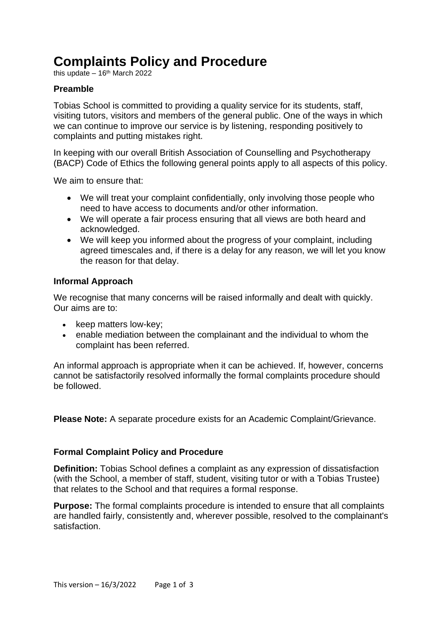# **Complaints Policy and Procedure**

this update  $-16<sup>th</sup>$  March 2022

## **Preamble**

Tobias School is committed to providing a quality service for its students, staff, visiting tutors, visitors and members of the general public. One of the ways in which we can continue to improve our service is by listening, responding positively to complaints and putting mistakes right.

In keeping with our overall British Association of Counselling and Psychotherapy (BACP) Code of Ethics the following general points apply to all aspects of this policy.

We aim to ensure that:

- We will treat your complaint confidentially, only involving those people who need to have access to documents and/or other information.
- We will operate a fair process ensuring that all views are both heard and acknowledged.
- We will keep you informed about the progress of your complaint, including agreed timescales and, if there is a delay for any reason, we will let you know the reason for that delay.

## **Informal Approach**

We recognise that many concerns will be raised informally and dealt with quickly. Our aims are to:

- keep matters low-key;
- enable mediation between the complainant and the individual to whom the complaint has been referred.

An informal approach is appropriate when it can be achieved. If, however, concerns cannot be satisfactorily resolved informally the formal complaints procedure should be followed.

**Please Note:** A separate procedure exists for an Academic Complaint/Grievance.

## **Formal Complaint Policy and Procedure**

**Definition:** Tobias School defines a complaint as any expression of dissatisfaction (with the School, a member of staff, student, visiting tutor or with a Tobias Trustee) that relates to the School and that requires a formal response.

**Purpose:** The formal complaints procedure is intended to ensure that all complaints are handled fairly, consistently and, wherever possible, resolved to the complainant's satisfaction.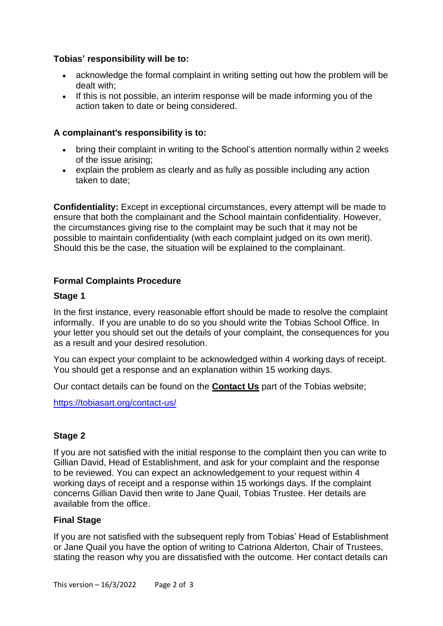## **Tobias' responsibility will be to:**

- acknowledge the formal complaint in writing setting out how the problem will be dealt with;
- If this is not possible, an interim response will be made informing you of the action taken to date or being considered.

# **A complainant's responsibility is to:**

- bring their complaint in writing to the School's attention normally within 2 weeks of the issue arising;
- explain the problem as clearly and as fully as possible including any action taken to date;

**Confidentiality:** Except in exceptional circumstances, every attempt will be made to ensure that both the complainant and the School maintain confidentiality. However, the circumstances giving rise to the complaint may be such that it may not be possible to maintain confidentiality (with each complaint judged on its own merit). Should this be the case, the situation will be explained to the complainant.

## **Formal Complaints Procedure**

## **Stage 1**

In the first instance, every reasonable effort should be made to resolve the complaint informally. If you are unable to do so you should write the Tobias School Office. In your letter you should set out the details of your complaint, the consequences for you as a result and your desired resolution.

You can expect your complaint to be acknowledged within 4 working days of receipt. You should get a response and an explanation within 15 working days.

Our contact details can be found on the **[Contact Us](http://www.alt.ac.uk/contact)** part of the Tobias website;

<https://tobiasart.org/contact-us/>

## **Stage 2**

If you are not satisfied with the initial response to the complaint then you can write to Gillian David, Head of Establishment, and ask for your complaint and the response to be reviewed. You can expect an acknowledgement to your request within 4 working days of receipt and a response within 15 workings days. If the complaint concerns Gillian David then write to Jane Quail, Tobias Trustee. Her details are available from the office.

## **Final Stage**

If you are not satisfied with the subsequent reply from Tobias' Head of Establishment or Jane Quail you have the option of writing to Catriona Alderton, Chair of Trustees, stating the reason why you are dissatisfied with the outcome. Her contact details can